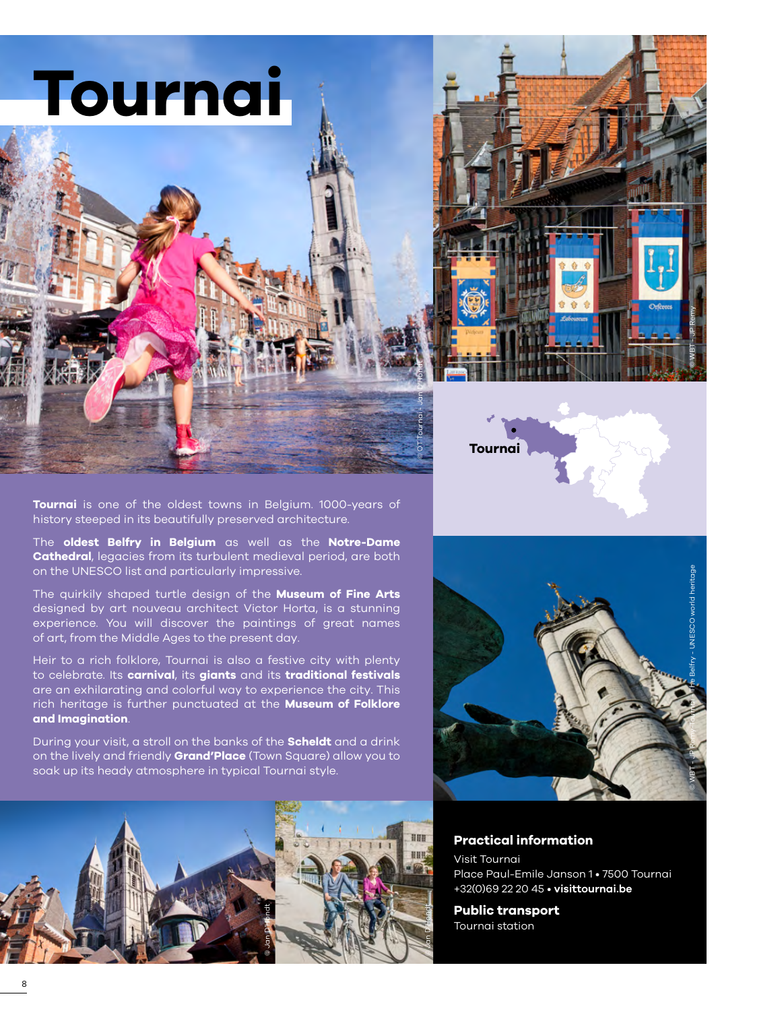



**Tournai** is one of the oldest towns in Belgium. 1000-years of history steeped in its beautifully preserved architecture.

The **oldest Belfry in Belgium** as well as the **Notre-Dame Cathedral**, legacies from its turbulent medieval period, are both on the UNESCO list and particularly impressive.

The quirkily shaped turtle design of the **Museum of Fine Arts** designed by art nouveau architect Victor Horta, is a stunning experience. You will discover the paintings of great names of art, from the Middle Ages to the present day.

Heir to a rich folklore, Tournai is also a festive city with plenty to celebrate. Its **carnival**, its **giants** and its **traditional festivals** are an exhilarating and colorful way to experience the city. This rich heritage is further punctuated at the **Museum of Folklore and Imagination**.

During your visit, a stroll on the banks of the **Scheldt** and a drink on the lively and friendly **Grand'Place** (Town Square) allow you to soak up its heady atmosphere in typical Tournai style.





### **Practical information**

Visit Tournai Place Paul-Emile Janson 1 • 7500 Tournai +32(0)69 22 20 45 • **[visittournai.be](https://www.visittournai.be/)**

**Public transport**  Tournai station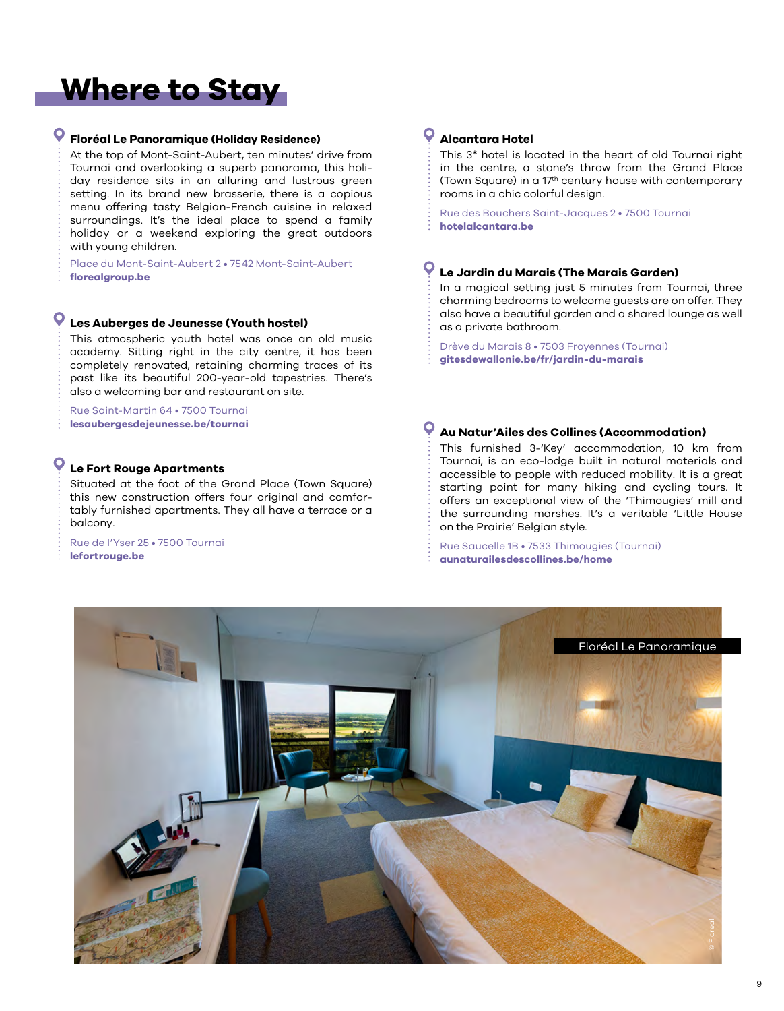# **Where to Stay**

#### **Floréal Le Panoramique (Holiday Residence)**

At the top of Mont-Saint-Aubert, ten minutes' drive from Tournai and overlooking a superb panorama, this holiday residence sits in an alluring and lustrous green setting. In its brand new brasserie, there is a copious menu offering tasty Belgian-French cuisine in relaxed surroundings. It's the ideal place to spend a family holiday or a weekend exploring the great outdoors with young children.

Place du Mont-Saint-Aubert 2 • 7542 Mont-Saint-Aubert **[florealgroup.be](https://www.florealgroup.be/page/mont-saint-aubert.html) Le Jardin du Marais (The Marais Garden)**

#### **Les Auberges de Jeunesse (Youth hostel)**

This atmospheric youth hotel was once an old music academy. Sitting right in the city centre, it has been completely renovated, retaining charming traces of its past like its beautiful 200-year-old tapestries. There's also a welcoming bar and restaurant on site.

Rue Saint-Martin 64 • 7500 Tournai

#### **Le Fort Rouge Apartments**

Situated at the foot of the Grand Place (Town Square) this new construction offers four original and comfortably furnished apartments. They all have a terrace or a balcony.

Rue de l'Yser 25 • 7500 Tournai **[lefortrouge.be](www.lefortrouge.be)**

#### **Alcantara Hotel**

This 3\* hotel is located in the heart of old Tournai right in the centre, a stone's throw from the Grand Place (Town Square) in a 17th century house with contemporary rooms in a chic colorful design.

Rue des Bouchers Saint-Jacques 2 • 7500 Tournai **[hotelalcantara.be](www.hotelalcantara.be)**

In a magical setting just 5 minutes from Tournai, three charming bedrooms to welcome guests are on offer. They also have a beautiful garden and a shared lounge as well as a private bathroom.

Drève du Marais 8 • 7503 Froyennes (Tournai) **[gitesdewallonie.be/fr/jardin-du-marais](https://gitesdewallonie.be/fr/jardin-du-marais)** 

## **[lesaubergesdejeunesse.be/tournai](www.lesaubergesdejeunesse.be/tournai) Au Natur'Ailes des Collines (Accommodation)**

This furnished 3-'Key' accommodation, 10 km from Tournai, is an eco-lodge built in natural materials and accessible to people with reduced mobility. It is a great starting point for many hiking and cycling tours. It offers an exceptional view of the 'Thimougies' mill and the surrounding marshes. It's a veritable 'Little House on the Prairie' Belgian style.

Rue Saucelle 1B • 7533 Thimougies (Tournai) **[aunaturailesdescollines.be/home](https://www.aunaturailesdescollines.be/home)**

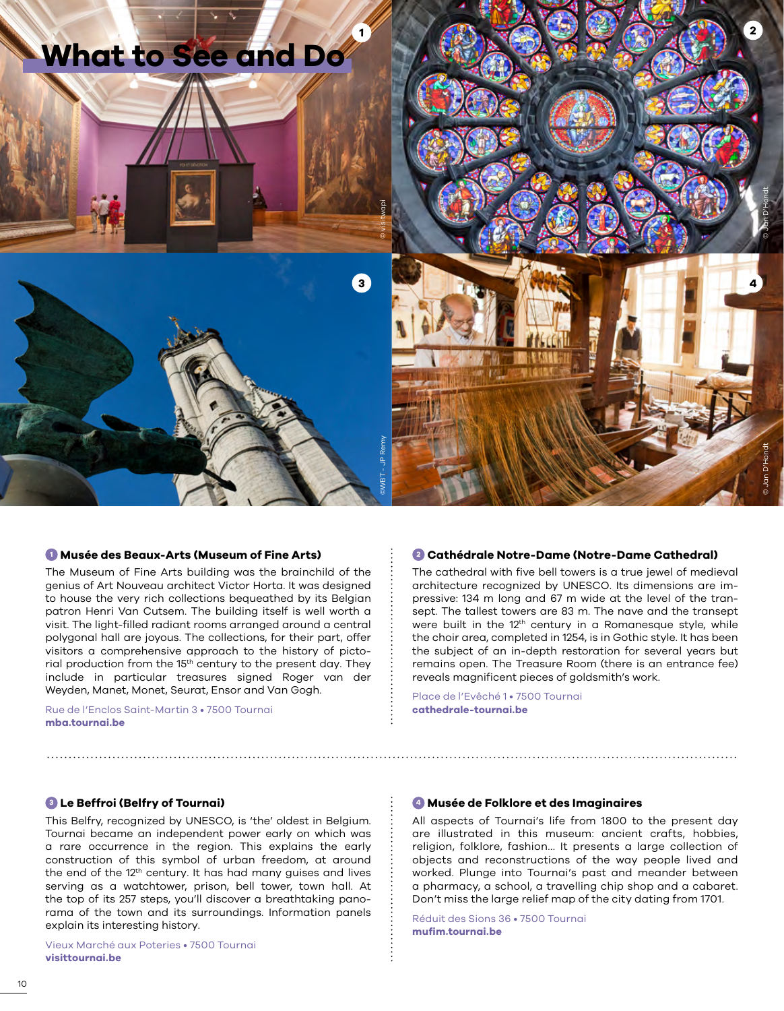

#### **<sup>1</sup> Musée des Beaux-Arts (Museum of Fine Arts)**

The Museum of Fine Arts building was the brainchild of the genius of Art Nouveau architect Victor Horta. It was designed to house the very rich collections bequeathed by its Belgian patron Henri Van Cutsem. The building itself is well worth a visit. The light-filled radiant rooms arranged around a central polygonal hall are joyous. The collections, for their part, offer visitors a comprehensive approach to the history of pictorial production from the 15<sup>th</sup> century to the present day. They include in particular treasures signed Roger van der Weyden, Manet, Monet, Seurat, Ensor and Van Gogh.

Rue de l'Enclos Saint-Martin 3 • 7500 Tournai **[mba.tournai.be](www.mba.tournai.be)**

#### **<sup>2</sup> Cathédrale Notre-Dame (Notre-Dame Cathedral)**

The cathedral with five bell towers is a true jewel of medieval architecture recognized by UNESCO. Its dimensions are impressive: 134 m long and 67 m wide at the level of the transept. The tallest towers are 83 m. The nave and the transept were built in the 12<sup>th</sup> century in a Romanesque style, while the choir area, completed in 1254, is in Gothic style. It has been the subject of an in-depth restoration for several years but remains open. The Treasure Room (there is an entrance fee) reveals magnificent pieces of goldsmith's work.

Place de l'Evêché 1 • 7500 Tournai **[cathedrale-tournai.be](https://www.cathedrale-tournai.be)**

#### **<sup>3</sup> Le Beffroi (Belfry of Tournai)**

This Belfry, recognized by UNESCO, is 'the' oldest in Belgium. Tournai became an independent power early on which was a rare occurrence in the region. This explains the early construction of this symbol of urban freedom, at around the end of the 12<sup>th</sup> century. It has had many guises and lives serving as a watchtower, prison, bell tower, town hall. At the top of its 257 steps, you'll discover a breathtaking panorama of the town and its surroundings. Information panels explain its interesting history.

Vieux Marché aux Poteries • 7500 Tournai **[visittournai.be](https://www.visittournai.be/impressionnant/beffroi/)**

#### **<sup>4</sup> Musée de Folklore et des Imaginaires**

All aspects of Tournai's life from 1800 to the present day are illustrated in this museum: ancient crafts, hobbies, religion, folklore, fashion... It presents a large collection of objects and reconstructions of the way people lived and worked. Plunge into Tournai's past and meander between a pharmacy, a school, a travelling chip shop and a cabaret. Don't miss the large relief map of the city dating from 1701.

Réduit des Sions 36 • 7500 Tournai **[mufim.tournai.be](https://mufim.tournai.be/)**